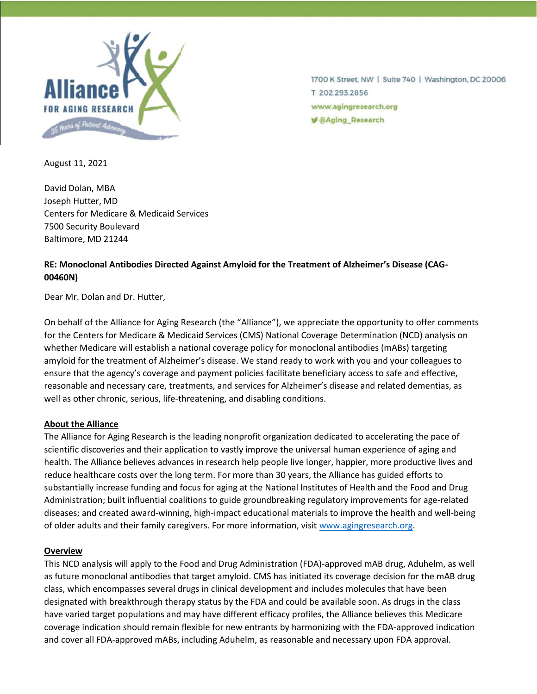

1700 K Street, NW | Suite 740 | Washington, DC 20006 T 202.293.2856 www.agingresearch.org **V** @Aging\_Research

August 11, 2021

David Dolan, MBA Joseph Hutter, MD Centers for Medicare & Medicaid Services 7500 Security Boulevard Baltimore, MD 21244

# **RE: Monoclonal Antibodies Directed Against Amyloid for the Treatment of Alzheimer's Disease (CAG-00460N)**

Dear Mr. Dolan and Dr. Hutter,

On behalf of the Alliance for Aging Research (the "Alliance"), we appreciate the opportunity to offer comments for the Centers for Medicare & Medicaid Services (CMS) National Coverage Determination (NCD) analysis on whether Medicare will establish a national coverage policy for monoclonal antibodies (mABs) targeting amyloid for the treatment of Alzheimer's disease. We stand ready to work with you and your colleagues to ensure that the agency's coverage and payment policies facilitate beneficiary access to safe and effective, reasonable and necessary care, treatments, and services for Alzheimer's disease and related dementias, as well as other chronic, serious, life-threatening, and disabling conditions.

#### **About the Alliance**

The Alliance for Aging Research is the leading nonprofit organization dedicated to accelerating the pace of scientific discoveries and their application to vastly improve the universal human experience of aging and health. The Alliance believes advances in research help people live longer, happier, more productive lives and reduce healthcare costs over the long term. For more than 30 years, the Alliance has guided efforts to substantially increase funding and focus for aging at the National Institutes of Health and the Food and Drug Administration; built influential coalitions to guide groundbreaking regulatory improvements for age-related diseases; and created award-winning, high-impact educational materials to improve the health and well-being of older adults and their family caregivers. For more information, visit [www.agingresearch.org.](http://www.agingresearch.org/)

#### **Overview**

This NCD analysis will apply to the Food and Drug Administration (FDA)-approved mAB drug, Aduhelm, as well as future monoclonal antibodies that target amyloid. CMS has initiated its coverage decision for the mAB drug class, which encompasses several drugs in clinical development and includes molecules that have been designated with breakthrough therapy status by the FDA and could be available soon. As drugs in the class have varied target populations and may have different efficacy profiles, the Alliance believes this Medicare coverage indication should remain flexible for new entrants by harmonizing with the FDA-approved indication and cover all FDA-approved mABs, including Aduhelm, as reasonable and necessary upon FDA approval.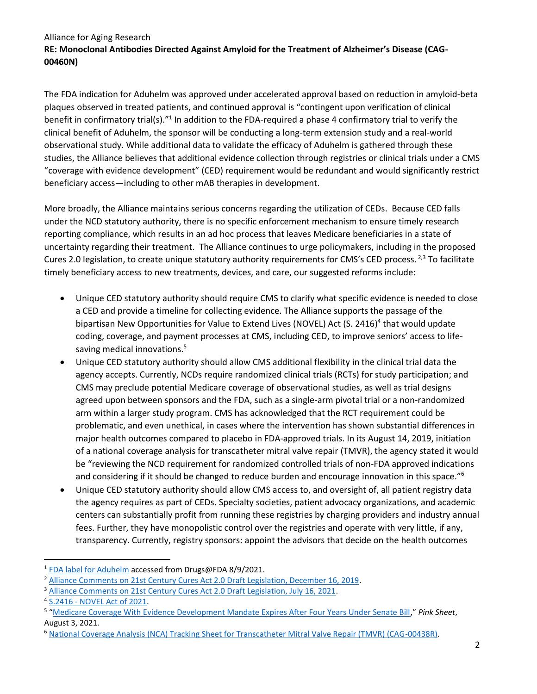The FDA indication for Aduhelm was approved under accelerated approval based on reduction in amyloid-beta plaques observed in treated patients, and continued approval is "contingent upon verification of clinical benefit in confirmatory trial(s)."<sup>1</sup> In addition to the FDA-required a phase 4 confirmatory trial to verify the clinical benefit of Aduhelm, the sponsor will be conducting a long-term extension study and a real-world observational study. While additional data to validate the efficacy of Aduhelm is gathered through these studies, the Alliance believes that additional evidence collection through registries or clinical trials under a CMS "coverage with evidence development" (CED) requirement would be redundant and would significantly restrict beneficiary access—including to other mAB therapies in development.

More broadly, the Alliance maintains serious concerns regarding the utilization of CEDs. Because CED falls under the NCD statutory authority, there is no specific enforcement mechanism to ensure timely research reporting compliance, which results in an ad hoc process that leaves Medicare beneficiaries in a state of uncertainty regarding their treatment. The Alliance continues to urge policymakers, including in the proposed Cures 2.0 legislation, to create unique statutory authority requirements for CMS's CED process.<sup>2,3</sup> To facilitate timely beneficiary access to new treatments, devices, and care, our suggested reforms include:

- Unique CED statutory authority should require CMS to clarify what specific evidence is needed to close a CED and provide a timeline for collecting evidence. The Alliance supports the passage of the bipartisan New Opportunities for Value to Extend Lives (NOVEL) Act (S. 2416)<sup>4</sup> that would update coding, coverage, and payment processes at CMS, including CED, to improve seniors' access to lifesaving medical innovations.<sup>5</sup>
- Unique CED statutory authority should allow CMS additional flexibility in the clinical trial data the agency accepts. Currently, NCDs require randomized clinical trials (RCTs) for study participation; and CMS may preclude potential Medicare coverage of observational studies, as well as trial designs agreed upon between sponsors and the FDA, such as a single-arm pivotal trial or a non-randomized arm within a larger study program. CMS has acknowledged that the RCT requirement could be problematic, and even unethical, in cases where the intervention has shown substantial differences in major health outcomes compared to placebo in FDA-approved trials. In its August 14, 2019, initiation of a national coverage analysis for transcatheter mitral valve repair (TMVR), the agency stated it would be "reviewing the NCD requirement for randomized controlled trials of non-FDA approved indications and considering if it should be changed to reduce burden and encourage innovation in this space."<sup>6</sup>
- Unique CED statutory authority should allow CMS access to, and oversight of, all patient registry data the agency requires as part of CEDs. Specialty societies, patient advocacy organizations, and academic centers can substantially profit from running these registries by charging providers and industry annual fees. Further, they have monopolistic control over the registries and operate with very little, if any, transparency. Currently, registry sponsors: appoint the advisors that decide on the health outcomes

<sup>&</sup>lt;sup>1</sup> [FDA label for Aduhelm](https://www.accessdata.fda.gov/drugsatfda_docs/label/2021/761178s003lbl.pdf) accessed from Drugs@FDA 8/9/2021.

<sup>2</sup> [Alliance Comments on 21st Century Cures Act 2.0 Draft Legislation, December 16, 2019.](https://www.agingresearch.org/app/uploads/2019/12/Cures-2.0-Input-and-Feedback_Alliance-for-Aging-Research-12-16-19.pdf)

<sup>&</sup>lt;sup>3</sup> [Alliance Comments on 21st Century Cures Act 2.0 Draft Legislation, July 16, 2021.](https://www.agingresearch.org/press-release/alliance-comments-on-21st-century-cures-act-2-0-draft-legislation/)

<sup>4</sup> S.2416 - [NOVEL Act of 2021.](https://www.congress.gov/bill/117th-congress/senate-bill/2416?q=%7B%22search%22%3A%5B%22New+Opportunities+for+Value+to+Extend+Lives+%28NOVEL%29+Act%22%5D%7D&s=2&r=1)

<sup>5</sup> "[Medicare Coverage With Evidence Development Mandate Expires After Four Years Under Senate Bill](https://pink.pharmaintelligence.informa.com/PS144744/Medicare-Coverage-With-Evidence-Development-Mandate-Expires-After-Four-Years-Under-Senate-Bill)," *Pink Sheet*, August 3, 2021.

<sup>6</sup> [National Coverage Analysis \(NCA\) Tracking Sheet for Transcatheter Mitral Valve Repair \(TMVR\) \(CAG-00438R\).](https://www.cms.gov/medicare-coverage-database/details/nca-tracking-sheet.aspx?NCAId=297)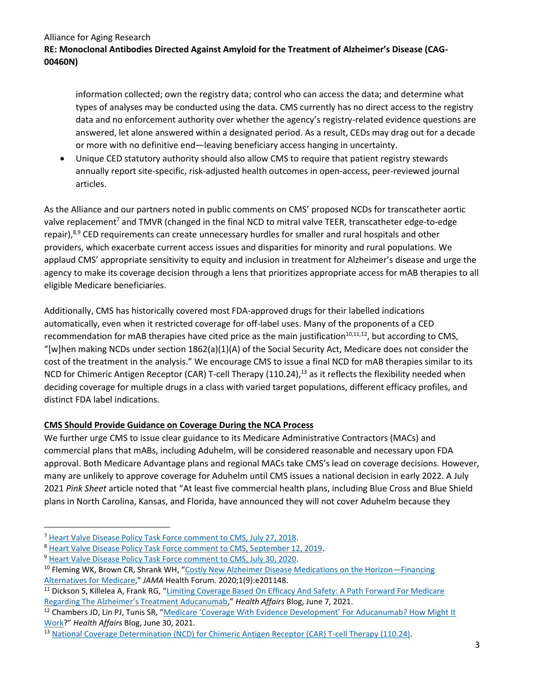information collected; own the registry data; control who can access the data; and determine what types of analyses may be conducted using the data. CMS currently has no direct access to the registry data and no enforcement authority over whether the agency's registry-related evidence questions are answered, let alone answered within a designated period. As a result, CEDs may drag out for a decade or more with no definitive end—leaving beneficiary access hanging in uncertainty.

• Unique CED statutory authority should also allow CMS to require that patient registry stewards annually report site-specific, risk-adjusted health outcomes in open-access, peer-reviewed journal articles.

As the Alliance and our partners noted in public comments on CMS' proposed NCDs for transcatheter aortic valve replacement<sup>7</sup> and TMVR (changed in the final NCD to mitral valve TEER, transcatheter edge-to-edge repair),<sup>8,9</sup> CED requirements can create unnecessary hurdles for smaller and rural hospitals and other providers, which exacerbate current access issues and disparities for minority and rural populations. We applaud CMS' appropriate sensitivity to equity and inclusion in treatment for Alzheimer's disease and urge the agency to make its coverage decision through a lens that prioritizes appropriate access for mAB therapies to all eligible Medicare beneficiaries.

Additionally, CMS has historically covered most FDA-approved drugs for their labelled indications automatically, even when it restricted coverage for off-label uses. Many of the proponents of a CED recommendation for mAB therapies have cited price as the main justification<sup>10,11,12</sup>, but according to CMS, "[w]hen making NCDs under section  $1862(a)(1)(A)$  of the Social Security Act, Medicare does not consider the cost of the treatment in the analysis." We encourage CMS to issue a final NCD for mAB therapies similar to its NCD for Chimeric Antigen Receptor (CAR) T-cell Therapy (110.24),<sup>13</sup> as it reflects the flexibility needed when deciding coverage for multiple drugs in a class with varied target populations, different efficacy profiles, and distinct FDA label indications.

# **CMS Should Provide Guidance on Coverage During the NCA Process**

We further urge CMS to issue clear guidance to its Medicare Administrative Contractors (MACs) and commercial plans that mABs, including Aduhelm, will be considered reasonable and necessary upon FDA approval. Both Medicare Advantage plans and regional MACs take CMS's lead on coverage decisions. However, many are unlikely to approve coverage for Aduhelm until CMS issues a national decision in early 2022. A July 2021 *Pink Sheet* article noted that "At least five commercial health plans, including Blue Cross and Blue Shield plans in North Carolina, Kansas, and Florida, have announced they will not cover Aduhelm because they

<sup>7</sup> [Heart Valve Disease Policy Task Force comment to CMS, July 27, 2018.](https://www.cms.gov/medicare-coverage-database/staticpages/public-comment.aspx?commentID=30736&ReportType=nca)

<sup>8</sup> [Heart Valve Disease Policy Task Force comment to CMS, September 12, 2019.](https://www.cms.gov/medicare-coverage-database/staticpages/public-comment.aspx?commentID=32807&ReportType=nca)

<sup>&</sup>lt;sup>9</sup> [Heart Valve Disease Policy Task Force comment to CMS, July 30, 2020.](https://www.cms.gov/medicare-coverage-database/staticpages/public-comment.aspx?commentID=33171&ReportType=nca)

<sup>10</sup> Fleming WK, Brown CR, Shrank WH, "[Costly New Alzheimer Disease Medications on the Horizon](https://jamanetwork.com/journals/jama-health-forum/fullarticle/2771217)-Financing [Alternatives for Medicare](https://jamanetwork.com/journals/jama-health-forum/fullarticle/2771217)," *JAMA* Health Forum. 2020;1(9):e201148.

<sup>&</sup>lt;sup>11</sup> Dickson S, Killelea A, Frank RG, "Limiting Coverage Based On Efficacy And Safety: A Path Forward For Medicare [Regarding The Alzheimer's Treatment Aducanumab,](https://www.healthaffairs.org/do/10.1377/hblog20210604.489197/full/)" *Health Affairs* Blog, June 7, 2021.

<sup>&</sup>lt;sup>12</sup> Chambers JD, Lin PJ, Tunis SR, "Medicare 'Coverage With Evidence Development' For Aducanumab? How Might It [Work?](https://www.healthaffairs.org/do/10.1377/hblog20210625.284997/full/?utm_medium=social&utm_source=twitter&utm_campaign=blog&utm_content=chambers)" *Health Affairs* Blog, June 30, 2021.

<sup>&</sup>lt;sup>13</sup> [National Coverage Determination \(NCD\) for Chimeric Antigen Receptor \(CAR\) T-cell Therapy \(110.24\).](https://www.cms.gov/medicare-coverage-database/details/ncd-details.aspx?ncdid=374&bc=CAAAAAAAAAAA)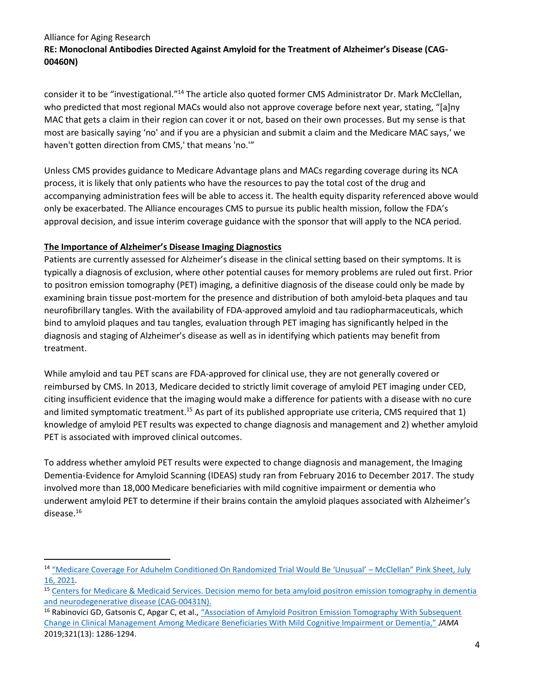consider it to be "investigational."<sup>14</sup> The article also quoted former CMS Administrator Dr. Mark McClellan, who predicted that most regional MACs would also not approve coverage before next year, stating, "[a]ny MAC that gets a claim in their region can cover it or not, based on their own processes. But my sense is that most are basically saying 'no' and if you are a physician and submit a claim and the Medicare MAC says,' we haven't gotten direction from CMS,' that means 'no.'"

Unless CMS provides guidance to Medicare Advantage plans and MACs regarding coverage during its NCA process, it is likely that only patients who have the resources to pay the total cost of the drug and accompanying administration fees will be able to access it. The health equity disparity referenced above would only be exacerbated. The Alliance encourages CMS to pursue its public health mission, follow the FDA's approval decision, and issue interim coverage guidance with the sponsor that will apply to the NCA period.

# **The Importance of Alzheimer's Disease Imaging Diagnostics**

Patients are currently assessed for Alzheimer's disease in the clinical setting based on their symptoms. It is typically a diagnosis of exclusion, where other potential causes for memory problems are ruled out first. Prior to positron emission tomography (PET) imaging, a definitive diagnosis of the disease could only be made by examining brain tissue post-mortem for the presence and distribution of both amyloid-beta plaques and tau neurofibrillary tangles. With the availability of FDA-approved amyloid and tau radiopharmaceuticals, which bind to amyloid plaques and tau tangles, evaluation through PET imaging has significantly helped in the diagnosis and staging of Alzheimer's disease as well as in identifying which patients may benefit from treatment.

While amyloid and tau PET scans are FDA-approved for clinical use, they are not generally covered or reimbursed by CMS. In 2013, Medicare decided to strictly limit coverage of amyloid PET imaging under CED, citing insufficient evidence that the imaging would make a difference for patients with a disease with no cure and limited symptomatic treatment.<sup>15</sup> As part of its published appropriate use criteria, CMS required that 1) knowledge of amyloid PET results was expected to change diagnosis and management and 2) whether amyloid PET is associated with improved clinical outcomes.

To address whether amyloid PET results were expected to change diagnosis and management, the Imaging Dementia-Evidence for Amyloid Scanning (IDEAS) study ran from February 2016 to December 2017. The study involved more than 18,000 Medicare beneficiaries with mild cognitive impairment or dementia who underwent amyloid PET to determine if their brains contain the amyloid plaques associated with Alzheimer's disease. 16

<sup>14</sup> ["Medicare Coverage For Aduhelm Conditioned On Randomized Trial Would Be 'Unusual' –](https://pink.pharmaintelligence.informa.com/PS144656/Medicare-Coverage-For-Aduhelm-Conditioned-On-Randomized-Trial-Would-Be-Unusual--McClellan) McClellan" Pink Sheet, July [16, 2021.](https://pink.pharmaintelligence.informa.com/PS144656/Medicare-Coverage-For-Aduhelm-Conditioned-On-Randomized-Trial-Would-Be-Unusual--McClellan)

<sup>&</sup>lt;sup>15</sup> Centers for Medicare & Medicaid Services. Decision memo for beta amyloid positron emission tomography in dementia [and neurodegenerative disease \(CAG-00431N\).](https://www.cms.gov/medicare-coverage-database/details/nca-decision-memo.aspx?NCAId=265)

<sup>&</sup>lt;sup>16</sup> Rabinovici GD, Gatsonis C, Apgar C, et al., "Association of Amyloid Positron Emission Tomography With Subsequent Change in Clinical Management [Among Medicare Beneficiaries With Mild Cognitive Impairment or Dementia,"](https://jamanetwork.com/journals/jama/fullarticle/2729371) *JAMA* 2019;321(13): 1286-1294.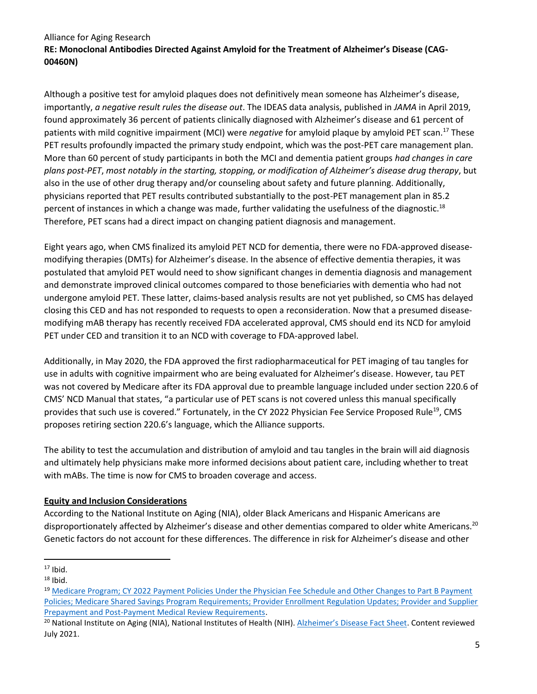Although a positive test for amyloid plaques does not definitively mean someone has Alzheimer's disease, importantly, *a negative result rules the disease out*. The IDEAS data analysis, published in *JAMA* in April 2019, found approximately 36 percent of patients clinically diagnosed with Alzheimer's disease and 61 percent of patients with mild cognitive impairment (MCI) were *negative* for amyloid plaque by amyloid PET scan.<sup>17</sup> These PET results profoundly impacted the primary study endpoint, which was the post-PET care management plan. More than 60 percent of study participants in both the MCI and dementia patient groups *had changes in care plans post-PET*, *most notably in the starting, stopping, or modification of Alzheimer's disease drug therapy*, but also in the use of other drug therapy and/or counseling about safety and future planning. Additionally, physicians reported that PET results contributed substantially to the post-PET management plan in 85.2 percent of instances in which a change was made, further validating the usefulness of the diagnostic.<sup>18</sup> Therefore, PET scans had a direct impact on changing patient diagnosis and management.

Eight years ago, when CMS finalized its amyloid PET NCD for dementia, there were no FDA-approved diseasemodifying therapies (DMTs) for Alzheimer's disease. In the absence of effective dementia therapies, it was postulated that amyloid PET would need to show significant changes in dementia diagnosis and management and demonstrate improved clinical outcomes compared to those beneficiaries with dementia who had not undergone amyloid PET. These latter, claims-based analysis results are not yet published, so CMS has delayed closing this CED and has not responded to requests to open a reconsideration. Now that a presumed diseasemodifying mAB therapy has recently received FDA accelerated approval, CMS should end its NCD for amyloid PET under CED and transition it to an NCD with coverage to FDA-approved label.

Additionally, in May 2020, the FDA approved the first radiopharmaceutical for PET imaging of tau tangles for use in adults with cognitive impairment who are being evaluated for Alzheimer's disease. However, tau PET was not covered by Medicare after its FDA approval due to preamble language included under section 220.6 of CMS' NCD Manual that states, "a particular use of PET scans is not covered unless this manual specifically provides that such use is covered." Fortunately, in the CY 2022 Physician Fee Service Proposed Rule<sup>19</sup>, CMS proposes retiring section 220.6's language, which the Alliance supports.

The ability to test the accumulation and distribution of amyloid and tau tangles in the brain will aid diagnosis and ultimately help physicians make more informed decisions about patient care, including whether to treat with mABs. The time is now for CMS to broaden coverage and access.

# **Equity and Inclusion Considerations**

According to the National Institute on Aging (NIA), older Black Americans and Hispanic Americans are disproportionately affected by Alzheimer's disease and other dementias compared to older white Americans.<sup>20</sup> Genetic factors do not account for these differences. The difference in risk for Alzheimer's disease and other

 $17$  Ibid.

 $18$  Ibid.

<sup>&</sup>lt;sup>19</sup> Medicare Program; CY 2022 Payment Policies Under the Physician Fee Schedule and Other Changes to Part B Payment [Policies; Medicare Shared Savings Program Requirements; Provider Enrollment Regulation Updates; Provider and Supplier](https://www.federalregister.gov/documents/2021/07/23/2021-14973/medicare-program-cy-2022-payment-policies-under-the-physician-fee-schedule-and-other-changes-to-part)  [Prepayment and Post-Payment Medical Review Requirements.](https://www.federalregister.gov/documents/2021/07/23/2021-14973/medicare-program-cy-2022-payment-policies-under-the-physician-fee-schedule-and-other-changes-to-part)

<sup>&</sup>lt;sup>20</sup> National Institute on Aging (NIA), National Institutes of Health (NIH). [Alzheimer's Disease Fact Sheet](https://www.nia.nih.gov/health/alzheimers-disease-fact-sheet). Content reviewed July 2021.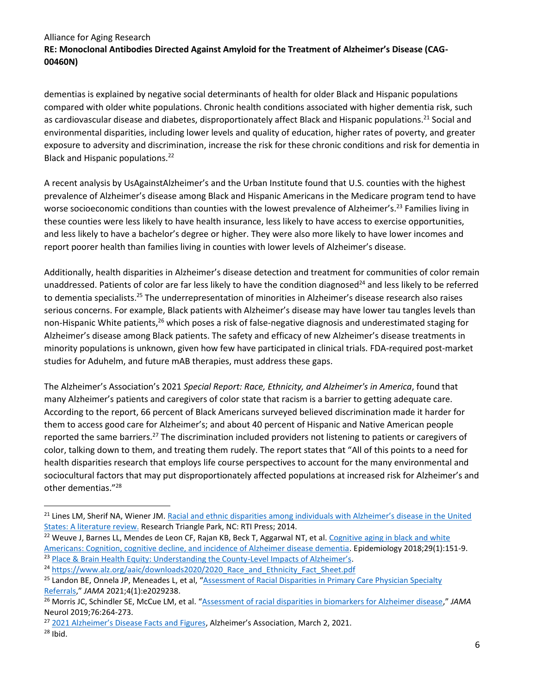dementias is explained by negative social determinants of health for older Black and Hispanic populations compared with older white populations. Chronic health conditions associated with higher dementia risk, such as cardiovascular disease and diabetes, disproportionately affect Black and Hispanic populations.<sup>21</sup> Social and environmental disparities, including lower levels and quality of education, higher rates of poverty, and greater exposure to adversity and discrimination, increase the risk for these chronic conditions and risk for dementia in Black and Hispanic populations.<sup>22</sup>

A recent analysis by UsAgainstAlzheimer's and the Urban Institute found that U.S. counties with the highest prevalence of Alzheimer's disease among Black and Hispanic Americans in the Medicare program tend to have worse socioeconomic conditions than counties with the lowest prevalence of Alzheimer's.<sup>23</sup> Families living in these counties were less likely to have health insurance, less likely to have access to exercise opportunities, and less likely to have a bachelor's degree or higher. They were also more likely to have lower incomes and report poorer health than families living in counties with lower levels of Alzheimer's disease.

Additionally, health disparities in Alzheimer's disease detection and treatment for communities of color remain unaddressed. Patients of color are far less likely to have the condition diagnosed<sup>24</sup> and less likely to be referred to dementia specialists.<sup>25</sup> The underrepresentation of minorities in Alzheimer's disease research also raises serious concerns. For example, Black patients with Alzheimer's disease may have lower tau tangles levels than non-Hispanic White patients,<sup>26</sup> which poses a risk of false-negative diagnosis and underestimated staging for Alzheimer's disease among Black patients. The safety and efficacy of new Alzheimer's disease treatments in minority populations is unknown, given how few have participated in clinical trials. FDA-required post-market studies for Aduhelm, and future mAB therapies, must address these gaps.

The Alzheimer's Association's 2021 *Special Report: Race, Ethnicity, and Alzheimer's in America*, found that many Alzheimer's patients and caregivers of color state that racism is a barrier to getting adequate care. According to the report, 66 percent of Black Americans surveyed believed discrimination made it harder for them to access good care for Alzheimer's; and about 40 percent of Hispanic and Native American people reported the same barriers.<sup>27</sup> The discrimination included providers not listening to patients or caregivers of color, talking down to them, and treating them rudely. The report states that "All of this points to a need for health disparities research that employs life course perspectives to account for the many environmental and sociocultural factors that may put disproportionately affected populations at increased risk for Alzheimer's and other dementias."<sup>28</sup>

<sup>&</sup>lt;sup>21</sup> Lines LM, Sherif NA, Wiener JM. Racial and ethnic disparities among individuals with Alzheimer's disease in the United [States: A literature review.](https://www.rti.org/rti-press-publication/disparities-alzheimers) Research Triangle Park, NC: RTI Press; 2014.

<sup>&</sup>lt;sup>22</sup> Weuve J, Barnes LL, Mendes de Leon CF, Rajan KB, Beck T, Aggarwal NT, et al. Cognitive aging in black and white [Americans: Cognition, cognitive decline, and incidence of Alzheimer disease dementia.](https://www.ncbi.nlm.nih.gov/pmc/articles/PMC5718953/) Epidemiology 2018;29(1):151-9. <sup>23</sup> [Place & Brain Health Equity: Understanding the County-](https://brainhealthdata.org/place-and-brain-health-equity/)Level Impacts of Alzheimer's.

<sup>&</sup>lt;sup>24</sup> [https://www.alz.org/aaic/downloads2020/2020\\_Race\\_and\\_Ethnicity\\_Fact\\_Sheet.pdf](https://www.alz.org/aaic/downloads2020/2020_Race_and_Ethnicity_Fact_Sheet.pdf)

<sup>&</sup>lt;sup>25</sup> Landon BE, Onnela JP, Meneades L, et al, "Assessment of Racial Disparities in Primary Care Physician Specialty [Referrals](https://jamanetwork.com/journals/jamanetworkopen/fullarticle/2775603)," *JAMA* 2021;4(1):e2029238.

<sup>26</sup> Morris JC, Schindler SE, McCue LM, et al. "[Assessment of racial disparities in biomarkers for Alzheimer disease](https://jamanetwork.com/journals/jamaneurology/fullarticle/2719700)," *JAMA* Neurol 2019;76:264-273.

<sup>&</sup>lt;sup>27</sup> [2021 Alzheimer's Disease Facts and Figures,](https://www.alz.org/media/Documents/alzheimers-facts-and-figures.pdf) Alzheimer's Association, March 2, 2021.

 $28$  Ibid.